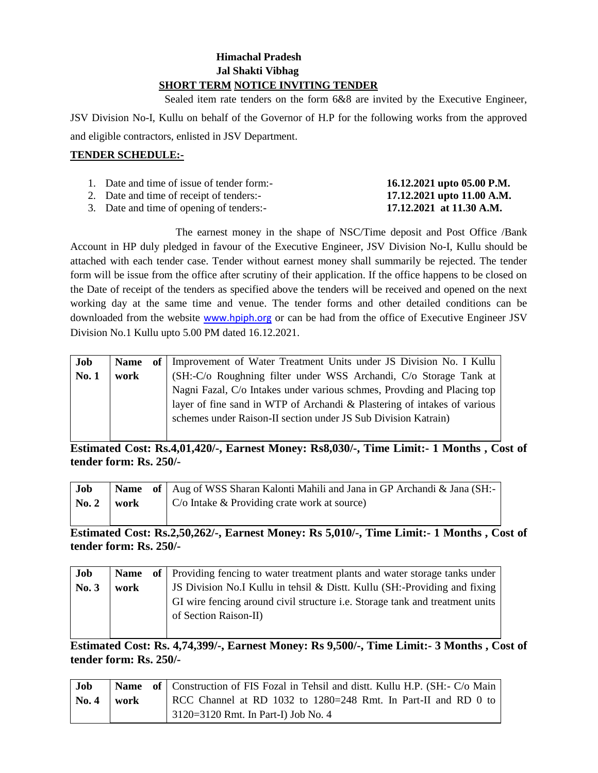## **Himachal Pradesh Jal Shakti Vibhag SHORT TERM NOTICE INVITING TENDER**

 Sealed item rate tenders on the form 6&8 are invited by the Executive Engineer, JSV Division No-I, Kullu on behalf of the Governor of H.P for the following works from the approved and eligible contractors, enlisted in JSV Department.

## **TENDER SCHEDULE:-**

| 1. Date and time of issue of tender form:- | 16.12.2021 upto 05.00 P.M. |
|--------------------------------------------|----------------------------|
| 2. Date and time of receipt of tenders:-   | 17.12.2021 upto 11.00 A.M. |
| 3. Date and time of opening of tenders:-   | 17.12.2021 at 11.30 A.M.   |

The earnest money in the shape of NSC/Time deposit and Post Office /Bank Account in HP duly pledged in favour of the Executive Engineer, JSV Division No-I, Kullu should be attached with each tender case. Tender without earnest money shall summarily be rejected. The tender form will be issue from the office after scrutiny of their application. If the office happens to be closed on the Date of receipt of the tenders as specified above the tenders will be received and opened on the next working day at the same time and venue. The tender forms and other detailed conditions can be

downloaded from the website [www.hpiph.org](http://www.hpiph.org/) or can be had from the office of Executive Engineer JSV Division No.1 Kullu upto 5.00 PM dated 16.12.2021.

| Job          |      | Name of   Improvement of Water Treatment Units under JS Division No. I Kullu |
|--------------|------|------------------------------------------------------------------------------|
| <b>No. 1</b> | work | (SH:-C/o Roughning filter under WSS Archandi, C/o Storage Tank at            |
|              |      | Nagni Fazal, C/o Intakes under various schmes, Provding and Placing top      |
|              |      | layer of fine sand in WTP of Archandi & Plastering of intakes of various     |
|              |      | schemes under Raison-II section under JS Sub Division Katrain)               |
|              |      |                                                                              |

**Estimated Cost: Rs.4,01,420/-, Earnest Money: Rs8,030/-, Time Limit:- 1 Months , Cost of tender form: Rs. 250/-**

| Job   |      | <b>Name</b> of Aug of WSS Sharan Kalonti Mahili and Jana in GP Archandi & Jana (SH:- |
|-------|------|--------------------------------------------------------------------------------------|
| No. 2 | work | $\mid$ C/o Intake & Providing crate work at source)                                  |
|       |      |                                                                                      |

# **Estimated Cost: Rs.2,50,262/-, Earnest Money: Rs 5,010/-, Time Limit:- 1 Months , Cost of tender form: Rs. 250/-**

| Job  |      | <b>Name</b> of Providing fencing to water treatment plants and water storage tanks under |
|------|------|------------------------------------------------------------------------------------------|
| No.3 | work | JS Division No.I Kullu in tehsil & Distt. Kullu (SH:-Providing and fixing                |
|      |      | GI wire fencing around civil structure <i>i.e.</i> Storage tank and treatment units      |
|      |      | of Section Raison-II)                                                                    |
|      |      |                                                                                          |

**Estimated Cost: Rs. 4,74,399/-, Earnest Money: Rs 9,500/-, Time Limit:- 3 Months , Cost of tender form: Rs. 250/-**

| <b>Job</b> |      | <b>Name</b> of Construction of FIS Fozal in Tehsil and dist. Kullu H.P. (SH:- C/o Main |
|------------|------|----------------------------------------------------------------------------------------|
| No. 4      | work | RCC Channel at RD 1032 to 1280=248 Rmt. In Part-II and RD 0 to                         |
|            |      | $\vert$ 3120=3120 Rmt. In Part-I) Job No. 4                                            |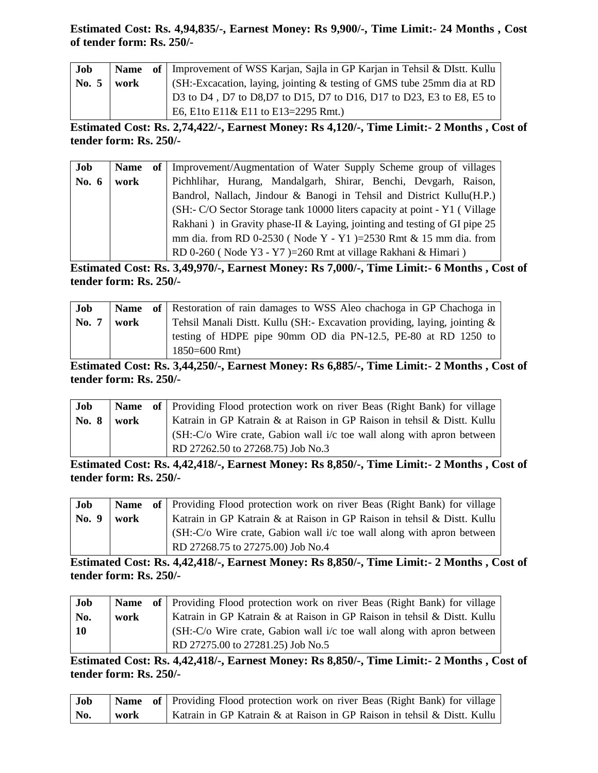## **Estimated Cost: Rs. 4,94,835/-, Earnest Money: Rs 9,900/-, Time Limit:- 24 Months , Cost of tender form: Rs. 250/-**

| Job          |      | <b>Name</b> of Improvement of WSS Karjan, Sajla in GP Karjan in Tehsil & DIstt. Kullu  |
|--------------|------|----------------------------------------------------------------------------------------|
| <b>No.</b> 5 | work | $\vert$ (SH:-Excacation, laying, jointing & testing of GMS tube 25mm dia at RD $\vert$ |
|              |      | D3 to D4, D7 to D8, D7 to D15, D7 to D16, D17 to D23, E3 to E8, E5 to                  |
|              |      | E6, E1to E11& E11 to E13=2295 Rmt.)                                                    |

**Estimated Cost: Rs. 2,74,422/-, Earnest Money: Rs 4,120/-, Time Limit:- 2 Months , Cost of tender form: Rs. 250/-**

| Job   | <b>Name</b> | of   Improvement/Augmentation of Water Supply Scheme group of villages      |
|-------|-------------|-----------------------------------------------------------------------------|
| No. 6 | work        | Pichhlihar, Hurang, Mandalgarh, Shirar, Benchi, Devgarh, Raison,            |
|       |             | Bandrol, Nallach, Jindour & Banogi in Tehsil and District Kullu(H.P.)       |
|       |             | (SH:- C/O Sector Storage tank 10000 liters capacity at point - Y1 (Village) |
|       |             | Rakhani) in Gravity phase-II & Laying, jointing and testing of GI pipe 25   |
|       |             | mm dia. from RD 0-2530 (Node Y - Y1)=2530 Rmt & 15 mm dia. from             |
|       |             | RD 0-260 (Node Y3 - Y7)=260 Rmt at village Rakhani & Himari)                |

**Estimated Cost: Rs. 3,49,970/-, Earnest Money: Rs 7,000/-, Time Limit:- 6 Months , Cost of tender form: Rs. 250/-**

| Job   |        | <b>Name</b> of Restoration of rain damages to WSS Aleo chachoga in GP Chachoga in |
|-------|--------|-----------------------------------------------------------------------------------|
| No. 7 | ∣ work | Tehsil Manali Distt. Kullu (SH:- Excavation providing, laying, jointing &         |
|       |        | testing of HDPE pipe 90mm OD dia PN-12.5, PE-80 at RD 1250 to                     |
|       |        | $1850 = 600$ Rmt)                                                                 |

**Estimated Cost: Rs. 3,44,250/-, Earnest Money: Rs 6,885/-, Time Limit:- 2 Months , Cost of tender form: Rs. 250/-**

| Job   |      | <b>Name</b> of Providing Flood protection work on river Beas (Right Bank) for village |
|-------|------|---------------------------------------------------------------------------------------|
| No. 8 | work | Katrain in GP Katrain & at Raison in GP Raison in tehsil & Distt. Kullu               |
|       |      | $(SH: C/O$ Wire crate, Gabion wall $i/c$ toe wall along with apron between            |
|       |      | RD 27262.50 to 27268.75) Job No.3                                                     |

**Estimated Cost: Rs. 4,42,418/-, Earnest Money: Rs 8,850/-, Time Limit:- 2 Months , Cost of tender form: Rs. 250/-**

| Job              |      | <b>Name</b> of Providing Flood protection work on river Beas (Right Bank) for village |
|------------------|------|---------------------------------------------------------------------------------------|
| $\sqrt{N_0}$ . 9 | work | Katrain in GP Katrain & at Raison in GP Raison in tehsil & Distt. Kullu               |
|                  |      | (SH:-C/o Wire crate, Gabion wall i/c toe wall along with apron between                |
|                  |      | RD 27268.75 to 27275.00) Job No.4                                                     |

**Estimated Cost: Rs. 4,42,418/-, Earnest Money: Rs 8,850/-, Time Limit:- 2 Months , Cost of tender form: Rs. 250/-**

| Job       |      | <b>Name</b> of Providing Flood protection work on river Beas (Right Bank) for village |
|-----------|------|---------------------------------------------------------------------------------------|
| No.       | work | Katrain in GP Katrain & at Raison in GP Raison in tehsil & Distt. Kullu               |
| <b>10</b> |      | (SH:-C/o Wire crate, Gabion wall i/c toe wall along with apron between                |
|           |      | RD 27275.00 to 27281.25) Job No.5                                                     |

**Estimated Cost: Rs. 4,42,418/-, Earnest Money: Rs 8,850/-, Time Limit:- 2 Months , Cost of tender form: Rs. 250/-**

| Job |      | <b>Name</b> of Providing Flood protection work on river Beas (Right Bank) for village |
|-----|------|---------------------------------------------------------------------------------------|
| No. | work | Katrain in GP Katrain & at Raison in GP Raison in tehsil & Distt. Kullu               |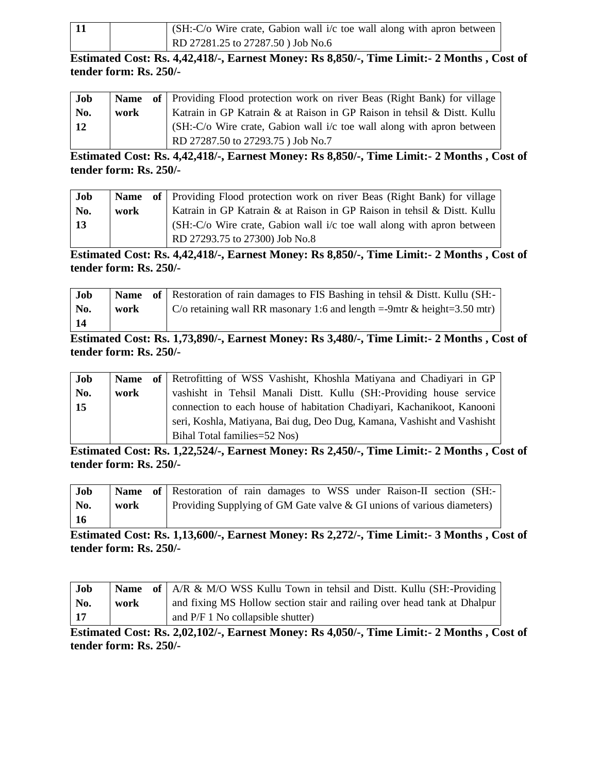|  | $\int$ (SH:-C/o Wire crate, Gabion wall i/c toe wall along with apron between |
|--|-------------------------------------------------------------------------------|
|  | RD 27281.25 to 27287.50 ) Job No.6                                            |

**Estimated Cost: Rs. 4,42,418/-, Earnest Money: Rs 8,850/-, Time Limit:- 2 Months , Cost of tender form: Rs. 250/-**

| Job        |      | <b>Name</b> of Providing Flood protection work on river Beas (Right Bank) for village |
|------------|------|---------------------------------------------------------------------------------------|
| No.        | work | Katrain in GP Katrain & at Raison in GP Raison in tehsil & Distt. Kullu               |
| $\vert$ 12 |      | $(SH: -C/O$ Wire crate, Gabion wall $i/c$ toe wall along with apron between           |
|            |      | RD 27287.50 to 27293.75 ) Job No.7                                                    |

**Estimated Cost: Rs. 4,42,418/-, Earnest Money: Rs 8,850/-, Time Limit:- 2 Months , Cost of tender form: Rs. 250/-**

| Job |      | <b>Name</b> of Providing Flood protection work on river Beas (Right Bank) for village |
|-----|------|---------------------------------------------------------------------------------------|
| No. | work | Katrain in GP Katrain & at Raison in GP Raison in tehsil & Distt. Kullu               |
| 13  |      | $(SH:-C/O$ Wire crate, Gabion wall $i/c$ toe wall along with apron between            |
|     |      | RD 27293.75 to 27300) Job No.8                                                        |

**Estimated Cost: Rs. 4,42,418/-, Earnest Money: Rs 8,850/-, Time Limit:- 2 Months , Cost of tender form: Rs. 250/-**

| Job |      | <b>Name</b> of Restoration of rain damages to FIS Bashing in tehsil & Distt. Kullu (SH:- |
|-----|------|------------------------------------------------------------------------------------------|
| No. | work | C/o retaining wall RR masonary 1:6 and length =-9mtr & height=3.50 mtr)                  |
| 14  |      |                                                                                          |

**Estimated Cost: Rs. 1,73,890/-, Earnest Money: Rs 3,480/-, Time Limit:- 2 Months , Cost of tender form: Rs. 250/-**

| Job | <b>Name</b> | of Retrofitting of WSS Vashisht, Khoshla Matiyana and Chadiyari in GP   |
|-----|-------------|-------------------------------------------------------------------------|
| No. | work        | vashisht in Tehsil Manali Distt. Kullu (SH:-Providing house service     |
| 15  |             | connection to each house of habitation Chadiyari, Kachanikoot, Kanooni  |
|     |             | seri, Koshla, Matiyana, Bai dug, Deo Dug, Kamana, Vashisht and Vashisht |
|     |             | Bihal Total families=52 Nos)                                            |

**Estimated Cost: Rs. 1,22,524/-, Earnest Money: Rs 2,450/-, Time Limit:- 2 Months , Cost of tender form: Rs. 250/-**

| Job |      | Name of Restoration of rain damages to WSS under Raison-II section (SH:- |  |  |  |  |  |
|-----|------|--------------------------------------------------------------------------|--|--|--|--|--|
| No. | work | Providing Supplying of GM Gate valve & GI unions of various diameters)   |  |  |  |  |  |
| 16  |      |                                                                          |  |  |  |  |  |

**Estimated Cost: Rs. 1,13,600/-, Earnest Money: Rs 2,272/-, Time Limit:- 3 Months , Cost of tender form: Rs. 250/-**

| <b>Job</b> |      | <b>Name</b> of $AR \& M/O$ WSS Kullu Town in tehsil and Distt. Kullu (SH:-Providing |
|------------|------|-------------------------------------------------------------------------------------|
| No.        | work | and fixing MS Hollow section stair and railing over head tank at Dhalpur            |
| $\vert$ 17 |      | and $P/F 1$ No collapsible shutter)                                                 |

**Estimated Cost: Rs. 2,02,102/-, Earnest Money: Rs 4,050/-, Time Limit:- 2 Months , Cost of tender form: Rs. 250/-**